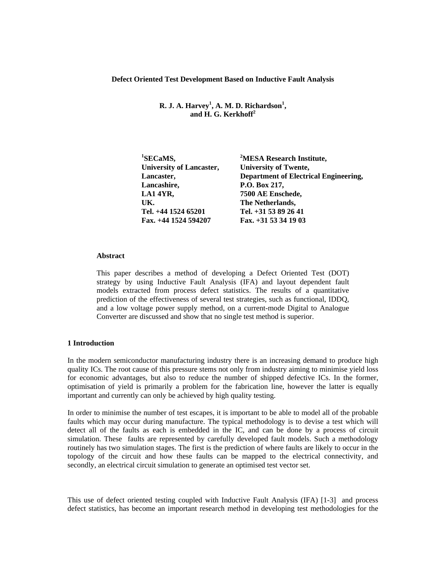**Defect Oriented Test Development Based on Inductive Fault Analysis** 

**R. J. A. Harvey<sup>1</sup>, A. M. D. Richardson<sup>1</sup>, and H. G. Kerkhoff<sup>2</sup>**

| <b>University of Lancaster,</b><br><b>University of Twente,</b><br>Lancaster,<br>Lancashire,<br>P.O. Box 217,<br>7500 AE Enschede,<br>LA14YR, | <sup>1</sup> SECaMS, | <sup>2</sup> MESA Research Institute,        |
|-----------------------------------------------------------------------------------------------------------------------------------------------|----------------------|----------------------------------------------|
|                                                                                                                                               |                      |                                              |
|                                                                                                                                               |                      | <b>Department of Electrical Engineering,</b> |
|                                                                                                                                               |                      |                                              |
|                                                                                                                                               |                      |                                              |
|                                                                                                                                               | UK.                  | The Netherlands,                             |
| Tel. +44 1524 65201<br>Tel. +31 53 89 26 41                                                                                                   |                      |                                              |
| Fax. $+44$ 1524 594207<br>Fax. $+31$ 53 34 19 03                                                                                              |                      |                                              |

## **Abstract**

This paper describes a method of developing a Defect Oriented Test (DOT) strategy by using Inductive Fault Analysis (IFA) and layout dependent fault models extracted from process defect statistics. The results of a quantitative prediction of the effectiveness of several test strategies, such as functional, IDDQ, and a low voltage power supply method, on a current-mode Digital to Analogue Converter are discussed and show that no single test method is superior.

# **1 Introduction**

In the modern semiconductor manufacturing industry there is an increasing demand to produce high quality ICs. The root cause of this pressure stems not only from industry aiming to minimise yield loss for economic advantages, but also to reduce the number of shipped defective ICs. In the former, optimisation of yield is primarily a problem for the fabrication line, however the latter is equally important and currently can only be achieved by high quality testing.

In order to minimise the number of test escapes, it is important to be able to model all of the probable faults which may occur during manufacture. The typical methodology is to devise a test which will detect all of the faults as each is embedded in the IC, and can be done by a process of circuit simulation. These faults are represented by carefully developed fault models. Such a methodology routinely has two simulation stages. The first is the prediction of where faults are likely to occur in the topology of the circuit and how these faults can be mapped to the electrical connectivity, and secondly, an electrical circuit simulation to generate an optimised test vector set.

This use of defect oriented testing coupled with Inductive Fault Analysis (IFA) [1-3] and process defect statistics, has become an important research method in developing test methodologies for the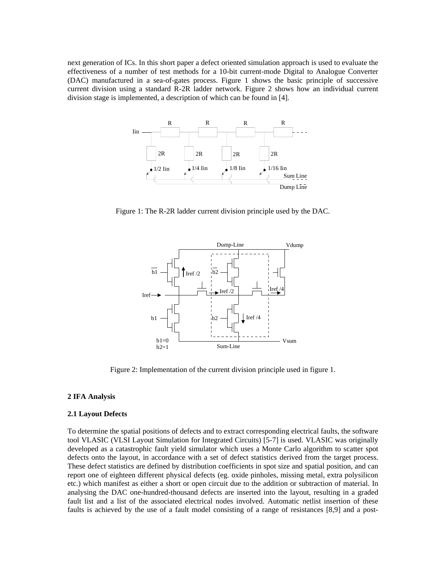next generation of ICs. In this short paper a defect oriented simulation approach is used to evaluate the effectiveness of a number of test methods for a 10-bit current-mode Digital to Analogue Converter (DAC) manufactured in a sea-of-gates process. Figure 1 shows the basic principle of successive current division using a standard R-2R ladder network. Figure 2 shows how an individual current division stage is implemented, a description of which can be found in [4].



Figure 1: The R-2R ladder current division principle used by the DAC.



Figure 2: Implementation of the current division principle used in figure 1.

# **2 IFA Analysis**

#### **2.1 Layout Defects**

To determine the spatial positions of defects and to extract corresponding electrical faults, the software tool VLASIC (VLSI Layout Simulation for Integrated Circuits) [5-7] is used. VLASIC was originally developed as a catastrophic fault yield simulator which uses a Monte Carlo algorithm to scatter spot defects onto the layout, in accordance with a set of defect statistics derived from the target process. These defect statistics are defined by distribution coefficients in spot size and spatial position, and can report one of eighteen different physical defects (eg. oxide pinholes, missing metal, extra polysilicon etc.) which manifest as either a short or open circuit due to the addition or subtraction of material. In analysing the DAC one-hundred-thousand defects are inserted into the layout, resulting in a graded fault list and a list of the associated electrical nodes involved. Automatic netlist insertion of these faults is achieved by the use of a fault model consisting of a range of resistances [8,9] and a post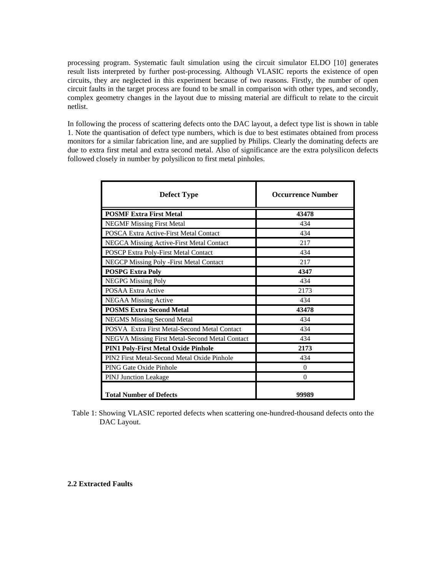processing program. Systematic fault simulation using the circuit simulator ELDO [10] generates result lists interpreted by further post-processing. Although VLASIC reports the existence of open circuits, they are neglected in this experiment because of two reasons. Firstly, the number of open circuit faults in the target process are found to be small in comparison with other types, and secondly, complex geometry changes in the layout due to missing material are difficult to relate to the circuit netlist.

In following the process of scattering defects onto the DAC layout, a defect type list is shown in table 1. Note the quantisation of defect type numbers, which is due to best estimates obtained from process monitors for a similar fabrication line, and are supplied by Philips. Clearly the dominating defects are due to extra first metal and extra second metal. Also of significance are the extra polysilicon defects followed closely in number by polysilicon to first metal pinholes.

| <b>Defect Type</b>                             | <b>Occurrence Number</b> |  |
|------------------------------------------------|--------------------------|--|
| <b>POSMF Extra First Metal</b>                 | 43478                    |  |
| <b>NEGMF Missing First Metal</b>               | 434                      |  |
| POSCA Extra Active-First Metal Contact         | 434                      |  |
| NEGCA Missing Active-First Metal Contact       | 217                      |  |
| POSCP Extra Poly-First Metal Contact           | 434                      |  |
| NEGCP Missing Poly - First Metal Contact       | 217                      |  |
| <b>POSPG Extra Poly</b>                        | 4347                     |  |
| <b>NEGPG Missing Poly</b>                      | 434                      |  |
| <b>POSAA Extra Active</b>                      | 2173                     |  |
| <b>NEGAA Missing Active</b>                    | 434                      |  |
| <b>POSMS Extra Second Metal</b>                | 43478                    |  |
| <b>NEGMS Missing Second Metal</b>              | 434                      |  |
| POSVA Extra First Metal-Second Metal Contact   | 434                      |  |
| NEGVA Missing First Metal-Second Metal Contact | 434                      |  |
| <b>PIN1 Poly-First Metal Oxide Pinhole</b>     | 2173                     |  |
| PIN2 First Metal-Second Metal Oxide Pinhole    | 434                      |  |
| PING Gate Oxide Pinhole                        | 0                        |  |
| <b>PINJ</b> Junction Leakage                   | $\theta$                 |  |
| <b>Total Number of Defects</b>                 | 99989                    |  |

Table 1: Showing VLASIC reported defects when scattering one-hundred-thousand defects onto the DAC Layout.

### **2.2 Extracted Faults**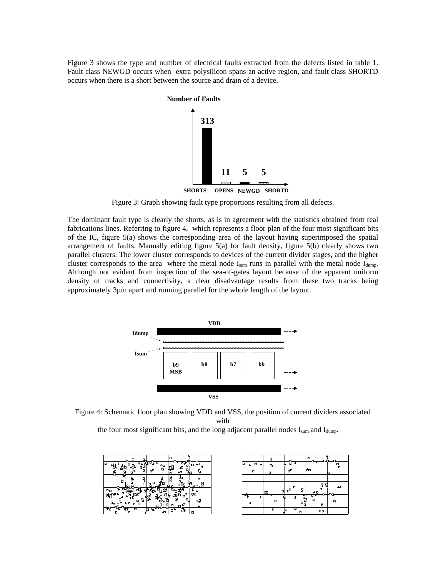Figure 3 shows the type and number of electrical faults extracted from the defects listed in table 1. Fault class NEWGD occurs when extra polysilicon spans an active region, and fault class SHORTD occurs when there is a short between the source and drain of a device.



Figure 3: Graph showing fault type proportions resulting from all defects.

The dominant fault type is clearly the shorts, as is in agreement with the statistics obtained from real fabrications lines. Referring to figure 4, which represents a floor plan of the four most significant bits of the IC, figure 5(a) shows the corresponding area of the layout having superimposed the spatial arrangement of faults. Manually editing figure 5(a) for fault density, figure 5(b) clearly shows two parallel clusters. The lower cluster corresponds to devices of the current divider stages, and the higher cluster corresponds to the area where the metal node  $I_{sum}$  runs in parallel with the metal node  $I_{dump}$ . Although not evident from inspection of the sea-of-gates layout because of the apparent uniform density of tracks and connectivity, a clear disadvantage results from these two tracks being approximately 3μm apart and running parallel for the whole length of the layout.



Figure 4: Schematic floor plan showing VDD and VSS, the position of current dividers associated with

the four most significant bits, and the long adjacent parallel nodes  $I_{sum}$  and  $I_{dump}$ .

| $\Box$ | □                |   | □<br>ጜ           | P           |
|--------|------------------|---|------------------|-------------|
| à      | ᠙<br>۳<br>п      |   | ェ<br>Е<br>⊞<br>8 | α<br>ᆑ      |
| □      |                  |   | п                |             |
| о      | □<br>п<br>α<br>□ | ᇆ | г                | о<br>$\Box$ |

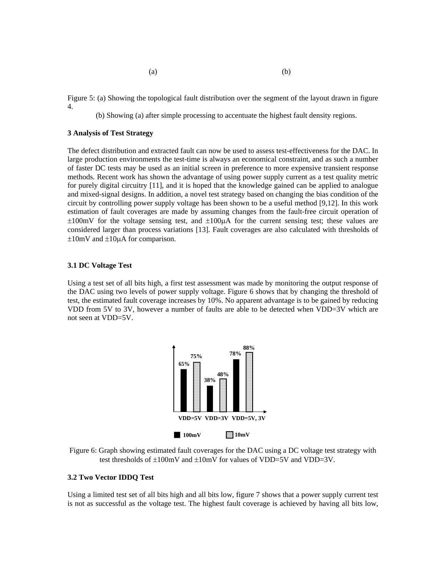Figure 5: (a) Showing the topological fault distribution over the segment of the layout drawn in figure 4.

(b) Showing (a) after simple processing to accentuate the highest fault density regions.

## **3 Analysis of Test Strategy**

The defect distribution and extracted fault can now be used to assess test-effectiveness for the DAC. In large production environments the test-time is always an economical constraint, and as such a number of faster DC tests may be used as an initial screen in preference to more expensive transient response methods. Recent work has shown the advantage of using power supply current as a test quality metric for purely digital circuitry [11], and it is hoped that the knowledge gained can be applied to analogue and mixed-signal designs. In addition, a novel test strategy based on changing the bias condition of the circuit by controlling power supply voltage has been shown to be a useful method [9,12]. In this work estimation of fault coverages are made by assuming changes from the fault-free circuit operation of  $\pm 100$ mV for the voltage sensing test, and  $\pm 100\mu A$  for the current sensing test; these values are considered larger than process variations [13]. Fault coverages are also calculated with thresholds of  $\pm 10$ mV and  $\pm 10\mu A$  for comparison.

#### **3.1 DC Voltage Test**

Using a test set of all bits high, a first test assessment was made by monitoring the output response of the DAC using two levels of power supply voltage. Figure 6 shows that by changing the threshold of test, the estimated fault coverage increases by 10%. No apparent advantage is to be gained by reducing VDD from 5V to 3V, however a number of faults are able to be detected when VDD=3V which are not seen at VDD=5V.



Figure 6: Graph showing estimated fault coverages for the DAC using a DC voltage test strategy with test thresholds of  $\pm 100$ mV and  $\pm 10$ mV for values of VDD=5V and VDD=3V.

## **3.2 Two Vector IDDQ Test**

Using a limited test set of all bits high and all bits low, figure 7 shows that a power supply current test is not as successful as the voltage test. The highest fault coverage is achieved by having all bits low,

 $(a)$  (b)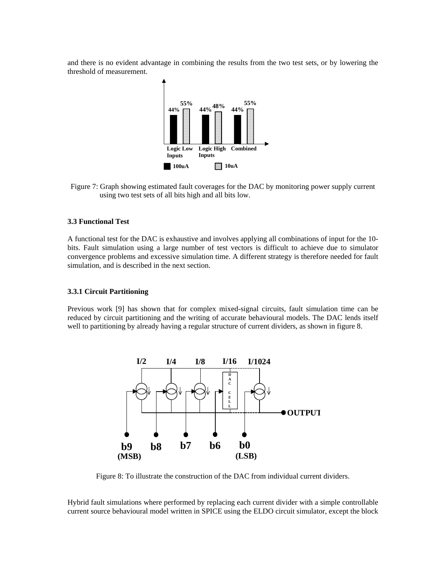and there is no evident advantage in combining the results from the two test sets, or by lowering the threshold of measurement.



Figure 7: Graph showing estimated fault coverages for the DAC by monitoring power supply current using two test sets of all bits high and all bits low.

## **3.3 Functional Test**

A functional test for the DAC is exhaustive and involves applying all combinations of input for the 10 bits. Fault simulation using a large number of test vectors is difficult to achieve due to simulator convergence problems and excessive simulation time. A different strategy is therefore needed for fault simulation, and is described in the next section.

#### **3.3.1 Circuit Partitioning**

Previous work [9] has shown that for complex mixed-signal circuits, fault simulation time can be reduced by circuit partitioning and the writing of accurate behavioural models. The DAC lends itself well to partitioning by already having a regular structure of current dividers, as shown in figure 8.



Figure 8: To illustrate the construction of the DAC from individual current dividers.

Hybrid fault simulations where performed by replacing each current divider with a simple controllable current source behavioural model written in SPICE using the ELDO circuit simulator, except the block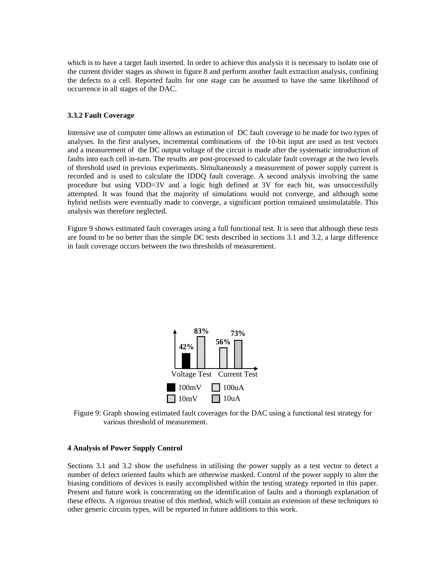which is to have a target fault inserted. In order to achieve this analysis it is necessary to isolate one of the current divider stages as shown in figure 8 and perform another fault extraction analysis, confining the defects to a cell. Reported faults for one stage can be assumed to have the same likelihood of occurrence in all stages of the DAC.

# **3.3.2 Fault Coverage**

Intensive use of computer time allows an estimation of DC fault coverage to be made for two types of analyses. In the first analyses, incremental combinations of the 10-bit input are used as test vectors and a measurement of the DC output voltage of the circuit is made after the systematic introduction of faults into each cell in-turn. The results are post-processed to calculate fault coverage at the two levels of threshold used in previous experiments. Simultaneously a measurement of power supply current is recorded and is used to calculate the IDDQ fault coverage. A second analysis involving the same procedure but using VDD=3V and a logic high defined at 3V for each bit, was unsuccessfully attempted. It was found that the majority of simulations would not converge, and although some hybrid netlists were eventually made to converge, a significant portion remained unsimulatable. This analysis was therefore neglected.

Figure 9 shows estimated fault coverages using a full functional test. It is seen that although these tests are found to be no better than the simple DC tests described in sections 3.1 and 3.2, a large difference in fault coverage occurs between the two thresholds of measurement.



Figure 9: Graph showing estimated fault coverages for the DAC using a functional test strategy for various threshold of measurement.

# **4 Analysis of Power Supply Control**

Sections 3.1 and 3.2 show the usefulness in utilising the power supply as a test vector to detect a number of defect oriented faults which are otherwise masked. Control of the power supply to alter the biasing conditions of devices is easily accomplished within the testing strategy reported in this paper. Present and future work is concentrating on the identification of faults and a thorough explanation of these effects. A rigorous treatise of this method, which will contain an extension of these techniques to other generic circuits types, will be reported in future additions to this work.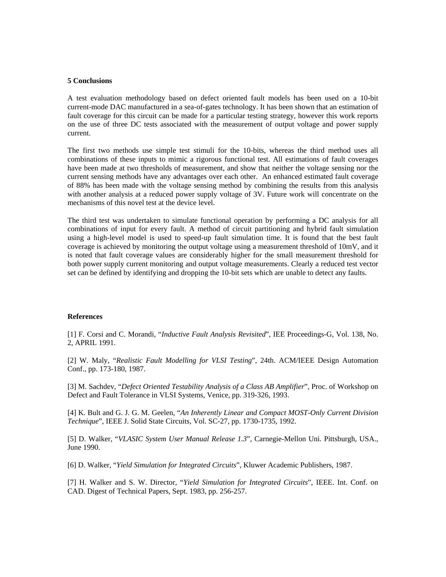#### **5 Conclusions**

A test evaluation methodology based on defect oriented fault models has been used on a 10-bit current-mode DAC manufactured in a sea-of-gates technology. It has been shown that an estimation of fault coverage for this circuit can be made for a particular testing strategy, however this work reports on the use of three DC tests associated with the measurement of output voltage and power supply current.

The first two methods use simple test stimuli for the 10-bits, whereas the third method uses all combinations of these inputs to mimic a rigorous functional test. All estimations of fault coverages have been made at two thresholds of measurement, and show that neither the voltage sensing nor the current sensing methods have any advantages over each other. An enhanced estimated fault coverage of 88% has been made with the voltage sensing method by combining the results from this analysis with another analysis at a reduced power supply voltage of 3V. Future work will concentrate on the mechanisms of this novel test at the device level.

The third test was undertaken to simulate functional operation by performing a DC analysis for all combinations of input for every fault. A method of circuit partitioning and hybrid fault simulation using a high-level model is used to speed-up fault simulation time. It is found that the best fault coverage is achieved by monitoring the output voltage using a measurement threshold of 10mV, and it is noted that fault coverage values are considerably higher for the small measurement threshold for both power supply current monitoring and output voltage measurements. Clearly a reduced test vector set can be defined by identifying and dropping the 10-bit sets which are unable to detect any faults.

## **References**

[1] F. Corsi and C. Morandi, "*Inductive Fault Analysis Revisited*", IEE Proceedings-G, Vol. 138, No. 2, APRIL 1991.

[2] W. Maly, "*Realistic Fault Modelling for VLSI Testing*", 24th. ACM/IEEE Design Automation Conf., pp. 173-180, 1987.

[3] M. Sachdev, "*Defect Oriented Testability Analysis of a Class AB Amplifier*", Proc. of Workshop on Defect and Fault Tolerance in VLSI Systems, Venice, pp. 319-326, 1993.

[4] K. Bult and G. J. G. M. Geelen, "*An Inherently Linear and Compact MOST-Only Current Division Technique*", IEEE J. Solid State Circuits, Vol. SC-27, pp. 1730-1735, 1992.

[5] D. Walker, "*VLASIC System User Manual Release 1.3*", Carnegie-Mellon Uni. Pittsburgh, USA., June 1990.

[6] D. Walker, "*Yield Simulation for Integrated Circuits*", Kluwer Academic Publishers, 1987.

[7] H. Walker and S. W. Director, "*Yield Simulation for Integrated Circuits*", IEEE. Int. Conf. on CAD. Digest of Technical Papers, Sept. 1983, pp. 256-257.